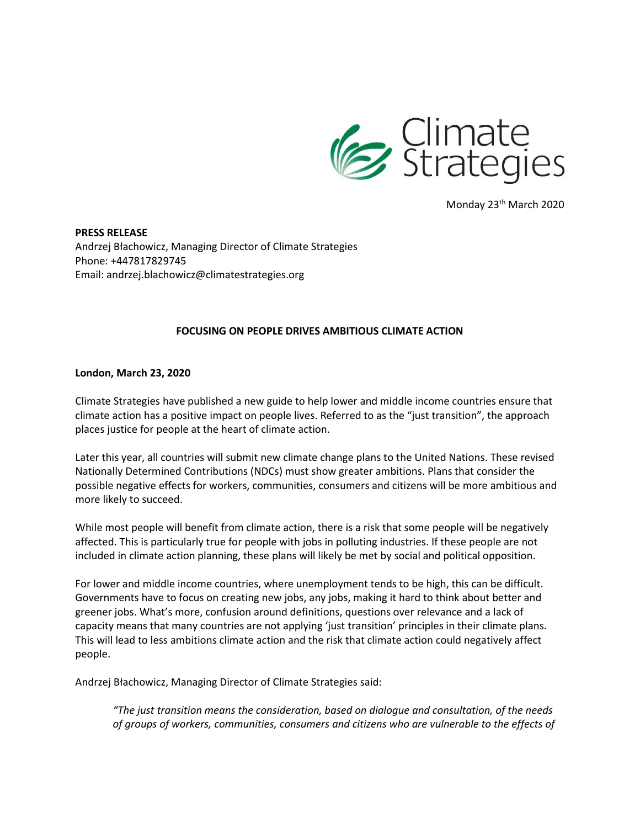

Monday 23<sup>th</sup> March 2020

**PRESS RELEASE** Andrzej Błachowicz, Managing Director of Climate Strategies Phone: +447817829745 Email: andrzej.blachowicz@climatestrategies.org

## **FOCUSING ON PEOPLE DRIVES AMBITIOUS CLIMATE ACTION**

**London, March 23, 2020**

Climate Strategies have published a new guide to help lower and middle income countries ensure that climate action has a positive impact on people lives. Referred to as the "just transition", the approach places justice for people at the heart of climate action.

Later this year, all countries will submit new climate change plans to the United Nations. These revised Nationally Determined Contributions (NDCs) must show greater ambitions. Plans that consider the possible negative effects for workers, communities, consumers and citizens will be more ambitious and more likely to succeed.

While most people will benefit from climate action, there is a risk that some people will be negatively affected. This is particularly true for people with jobs in polluting industries. If these people are not included in climate action planning, these plans will likely be met by social and political opposition.

For lower and middle income countries, where unemployment tends to be high, this can be difficult. Governments have to focus on creating new jobs, any jobs, making it hard to think about better and greener jobs. What's more, confusion around definitions, questions over relevance and a lack of capacity means that many countries are not applying 'just transition' principles in their climate plans. This will lead to less ambitions climate action and the risk that climate action could negatively affect people.

Andrzej Błachowicz, Managing Director of Climate Strategies said:

*"The just transition means the consideration, based on dialogue and consultation, of the needs of groups of workers, communities, consumers and citizens who are vulnerable to the effects of*